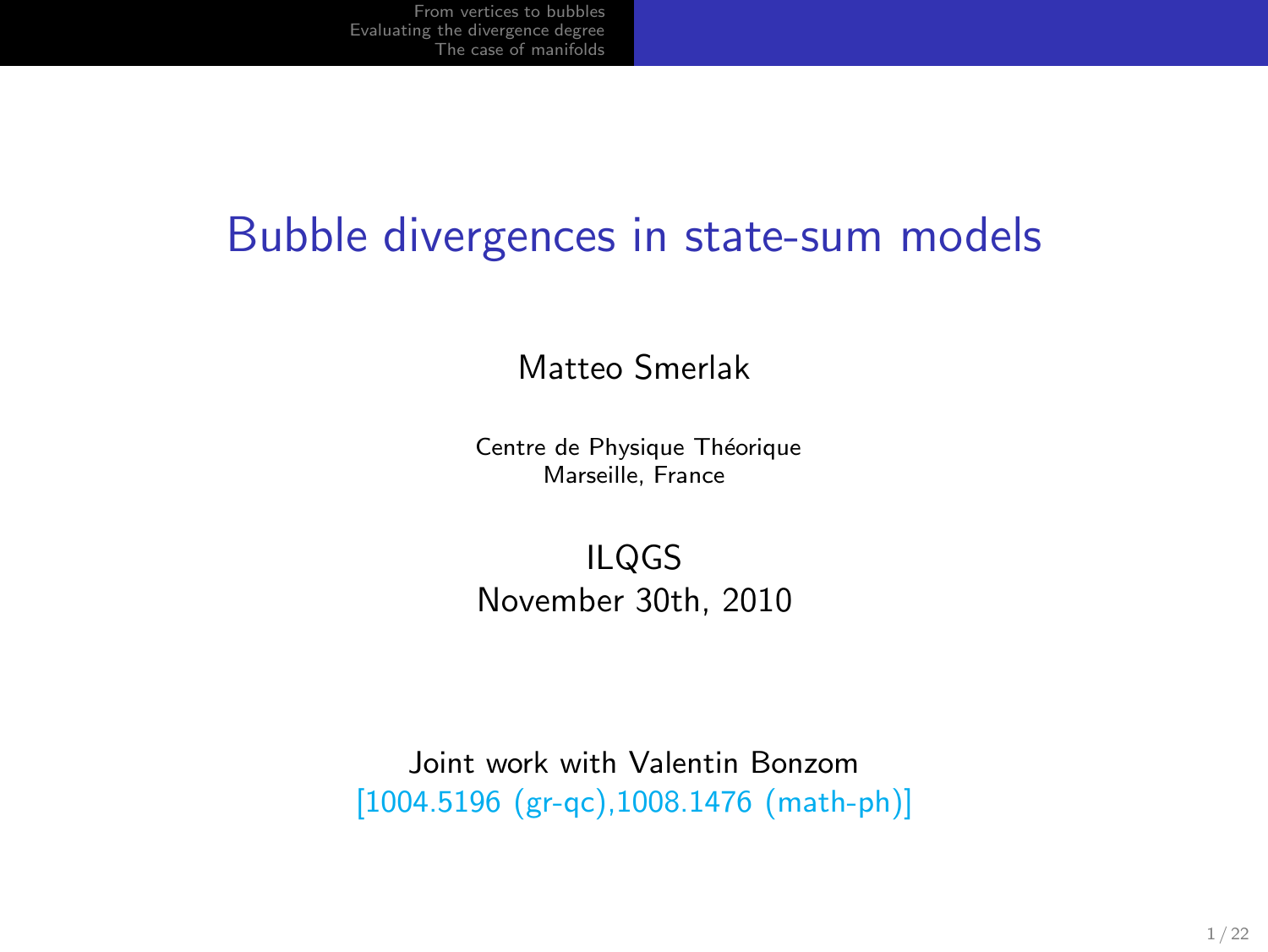#### Bubble divergences in state-sum models

Matteo Smerlak

Centre de Physique Théorique Marseille, France

ILQGS November 30th, 2010

Joint work with Valentin Bonzom [1004.5196 (gr-qc),1008.1476 (math-ph)]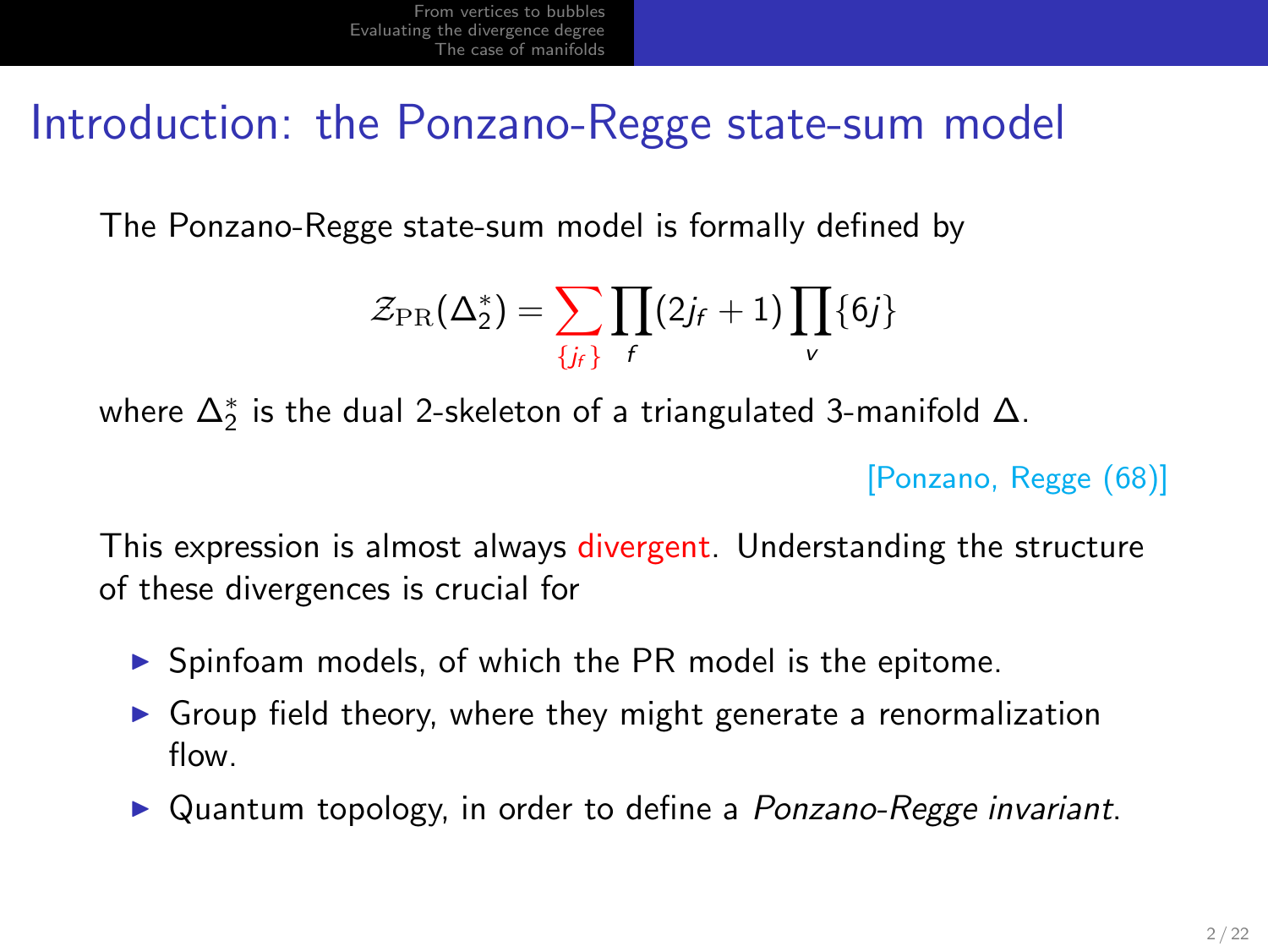## Introduction: the Ponzano-Regge state-sum model

The Ponzano-Regge state-sum model is formally defined by

$$
\mathcal{Z}_{\textrm{PR}}(\Delta_2^*) = \sum_{\{j_r\}} \prod_{f} (2j_f+1) \prod_{v} \{6j\}
$$

where  $\Delta_2^*$  is the dual 2-skeleton of a triangulated 3-manifold  $\Delta.$ 

[Ponzano, Regge (68)]

This expression is almost always divergent. Understanding the structure of these divergences is crucial for

- ▶ Spinfoam models, of which the PR model is the epitome.
- ▶ Group field theory, where they might generate a renormalization flow.
- ▶ Quantum topology, in order to define a *Ponzano-Regge invariant*.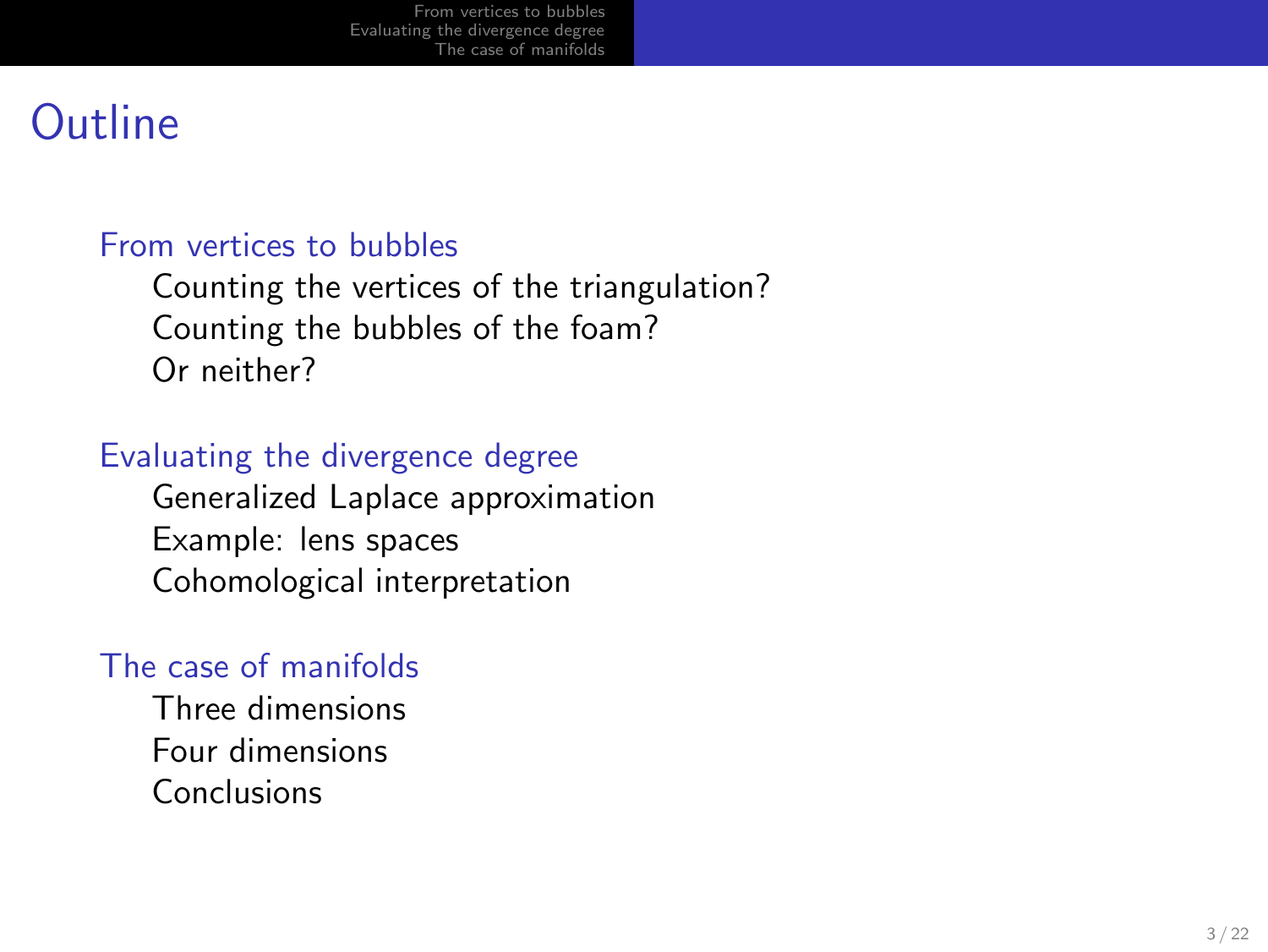## **Outline**

#### [From vertices to bubbles](#page-3-0)

[Counting the vertices of the triangulation?](#page-4-0) [Counting the bubbles of the foam?](#page-8-0) [Or neither?](#page-9-0)

#### [Evaluating the divergence degree](#page-12-0)

[Generalized Laplace approximation](#page-13-0) [Example: lens spaces](#page-16-0) [Cohomological interpretation](#page-16-0)

#### [The case of manifolds](#page-17-0)

[Three dimensions](#page-19-0) [Four dimensions](#page-20-0) [Conclusions](#page-21-0)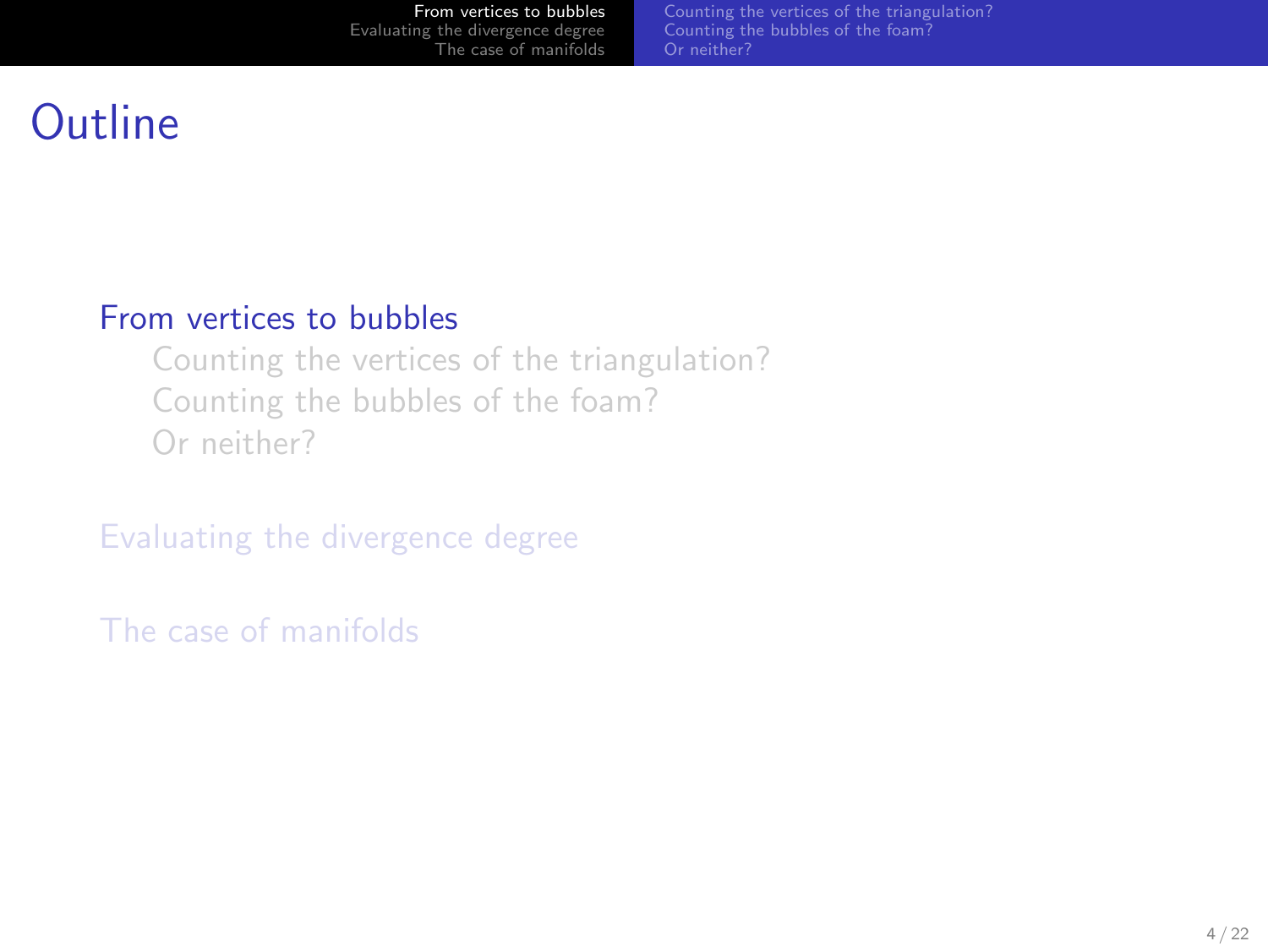<span id="page-3-0"></span>[Counting the vertices of the triangulation?](#page-4-0) [Counting the bubbles of the foam?](#page-8-0) [Or neither?](#page-9-0)

# **Outline**

#### [From vertices to bubbles](#page-3-0)

[Counting the vertices of the triangulation?](#page-4-0) [Counting the bubbles of the foam?](#page-8-0) [Or neither?](#page-9-0)

[Evaluating the divergence degree](#page-12-0)

[The case of manifolds](#page-17-0)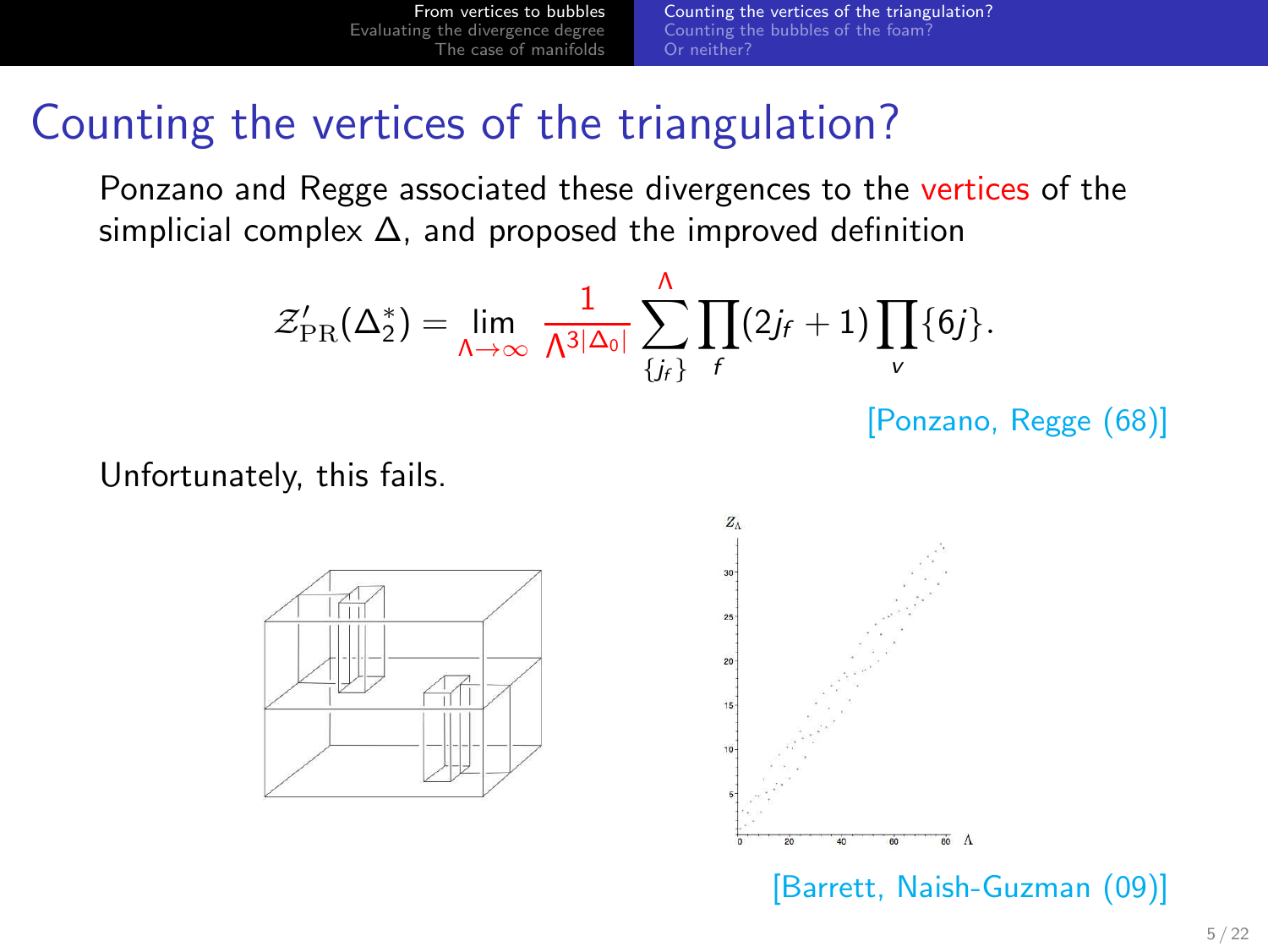[Counting the vertices of the triangulation?](#page-4-0) [Counting the bubbles of the foam?](#page-8-0) [Or neither?](#page-9-0)

#### Counting the vertices of the triangulation?

Ponzano and Regge associated these divergences to the vertices of the simplicial complex  $\Delta$ , and proposed the improved definition

$$
\mathcal{Z}'_{\mathrm{PR}}(\Delta_2^*) = \lim_{\Lambda \to \infty} \frac{1}{\Lambda^{3|\Delta_0|}} \sum_{\{j_f\}}^{\Lambda} \prod_f (2j_f+1) \prod_v \{6j\}.
$$

[Ponzano, Regge (68)]

Unfortunately, this fails.





<span id="page-4-0"></span>[Barrett, Naish-Guzman (09)]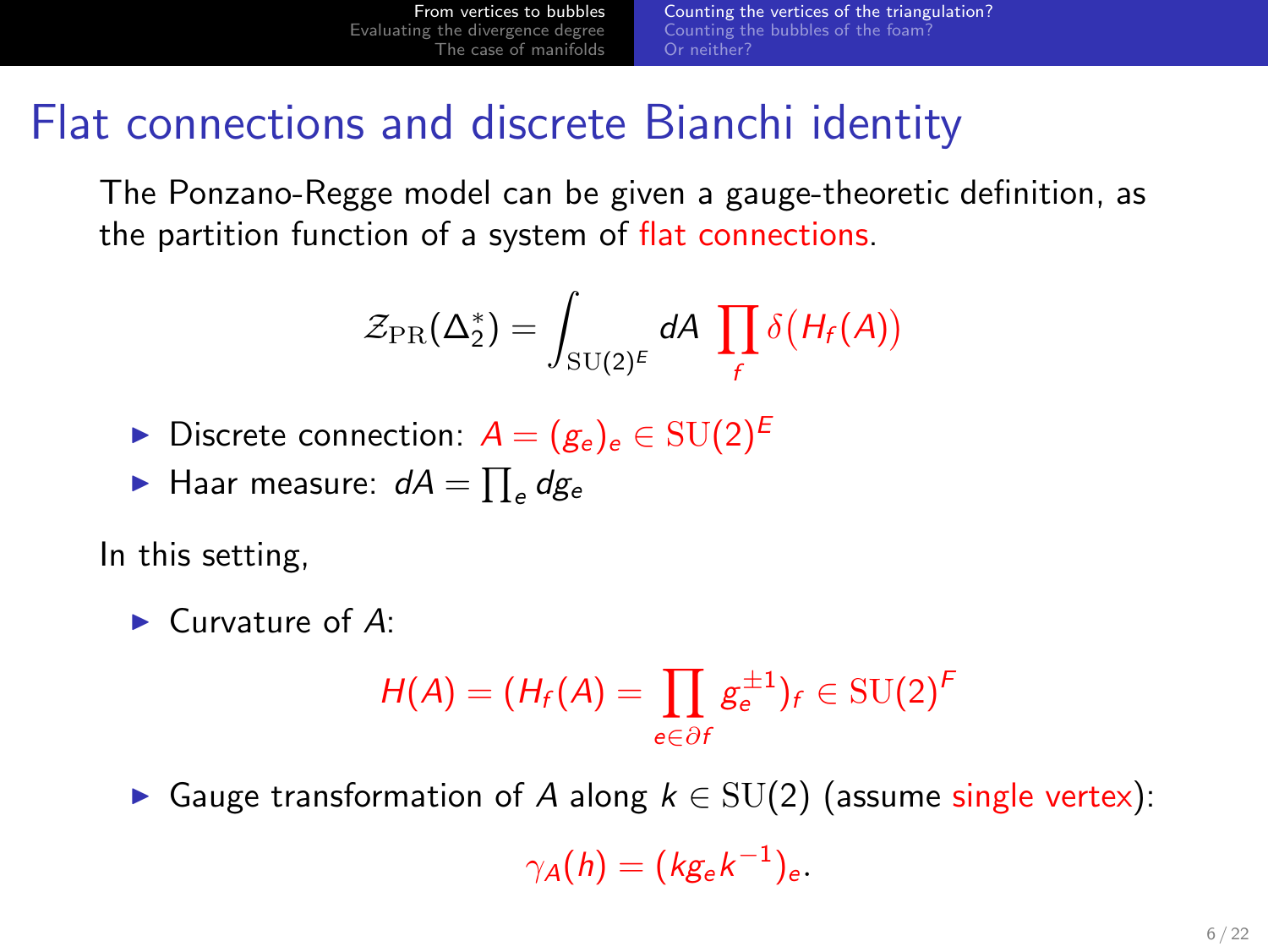[Counting the vertices of the triangulation?](#page-4-0) [Counting the bubbles of the foam?](#page-8-0) [Or neither?](#page-9-0)

#### Flat connections and discrete Bianchi identity

The Ponzano-Regge model can be given a gauge-theoretic definition, as the partition function of a system of flat connections.

$$
\mathcal{Z}_{\rm PR}(\Delta_2^*)=\int_{\rm SU(2)^E}dA\,\prod_f\delta\big(H_f(A)\big)
$$

- ► Discrete connection:  $A = (g_e)_e \in SU(2)^E$
- $\blacktriangleright$  Haar measure:  $dA = \prod_e dg_e$

In this setting,

$$
\blacktriangleright
$$
 Curvature of A:

$$
H(A) = (H_f(A) = \prod_{e \in \partial f} g_e^{\pm 1})_f \in \mathrm{SU}(2)^F
$$

► Gauge transformation of A along  $k \in SU(2)$  (assume single vertex):

 $\gamma_A(h) = (k g_e k^{-1})_e.$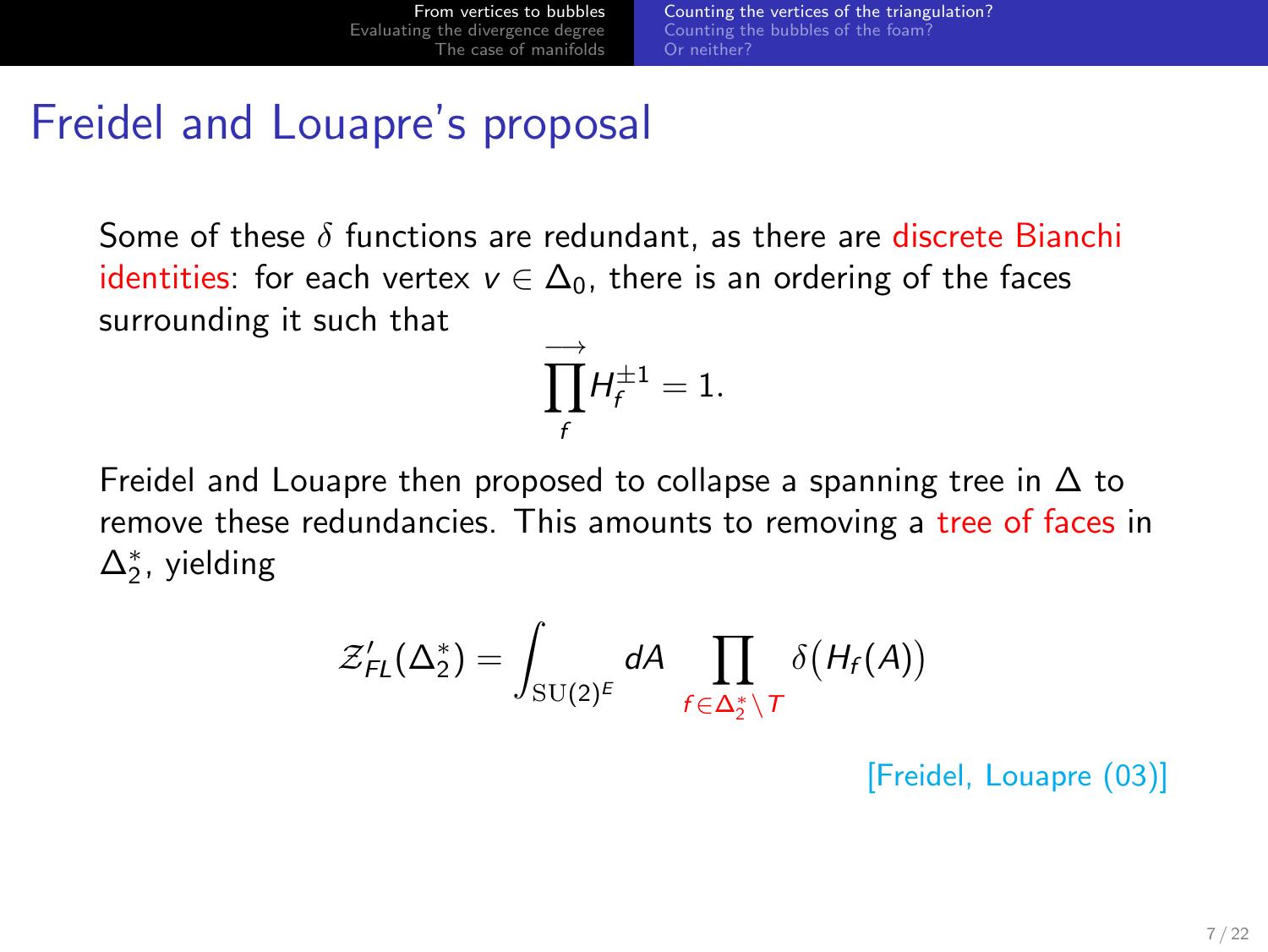## Freidel and Louapre's proposal

Some of these  $\delta$  functions are redundant, as there are discrete Bianchi identities: for each vertex  $v \in \Delta_0$ , there is an ordering of the faces surrounding it such that

$$
\prod_f^{\longrightarrow} H_f^{\pm 1} = 1.
$$

Freidel and Louapre then proposed to collapse a spanning tree in  $\Delta$  to remove these redundancies. This amounts to removing a tree of faces in  $\Delta_2^*$ , yielding

$$
\mathcal{Z}'_{FL}(\Delta_2^*) = \int_{\mathrm{SU}(2)^E} dA \prod_{f \in \Delta_2^* \setminus T} \delta\big(H_f(A)\big)
$$

[Freidel, Louapre (03)]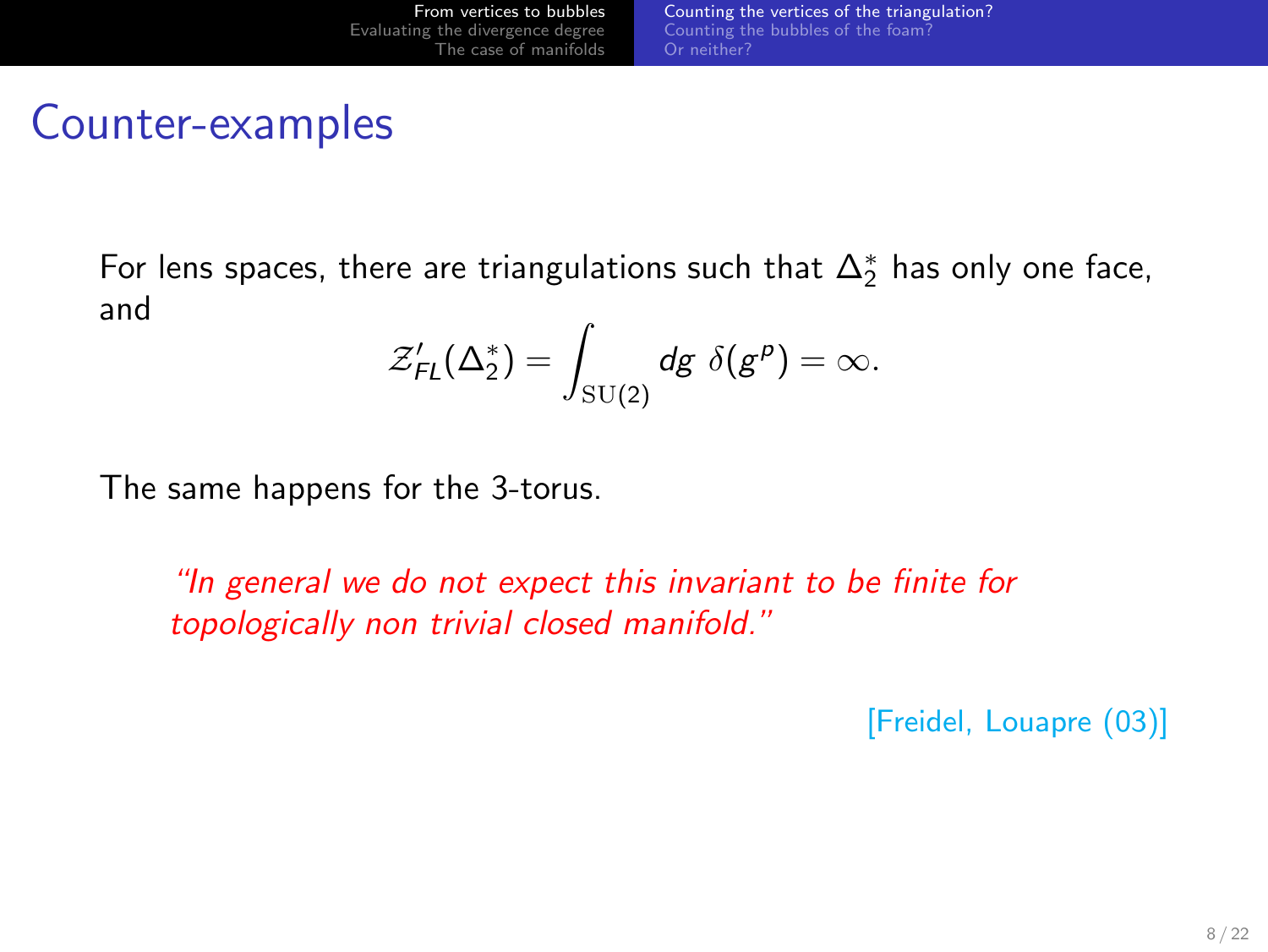#### Counter-examples

For lens spaces, there are triangulations such that  $\Delta_2^*$  has only one face, and

$$
\mathcal{Z}'_{FL}(\Delta_2^*) = \int_{\mathrm{SU}(2)} dg \; \delta(g^p) = \infty.
$$

The same happens for the 3-torus.

"In general we do not expect this invariant to be finite for topologically non trivial closed manifold."

[Freidel, Louapre (03)]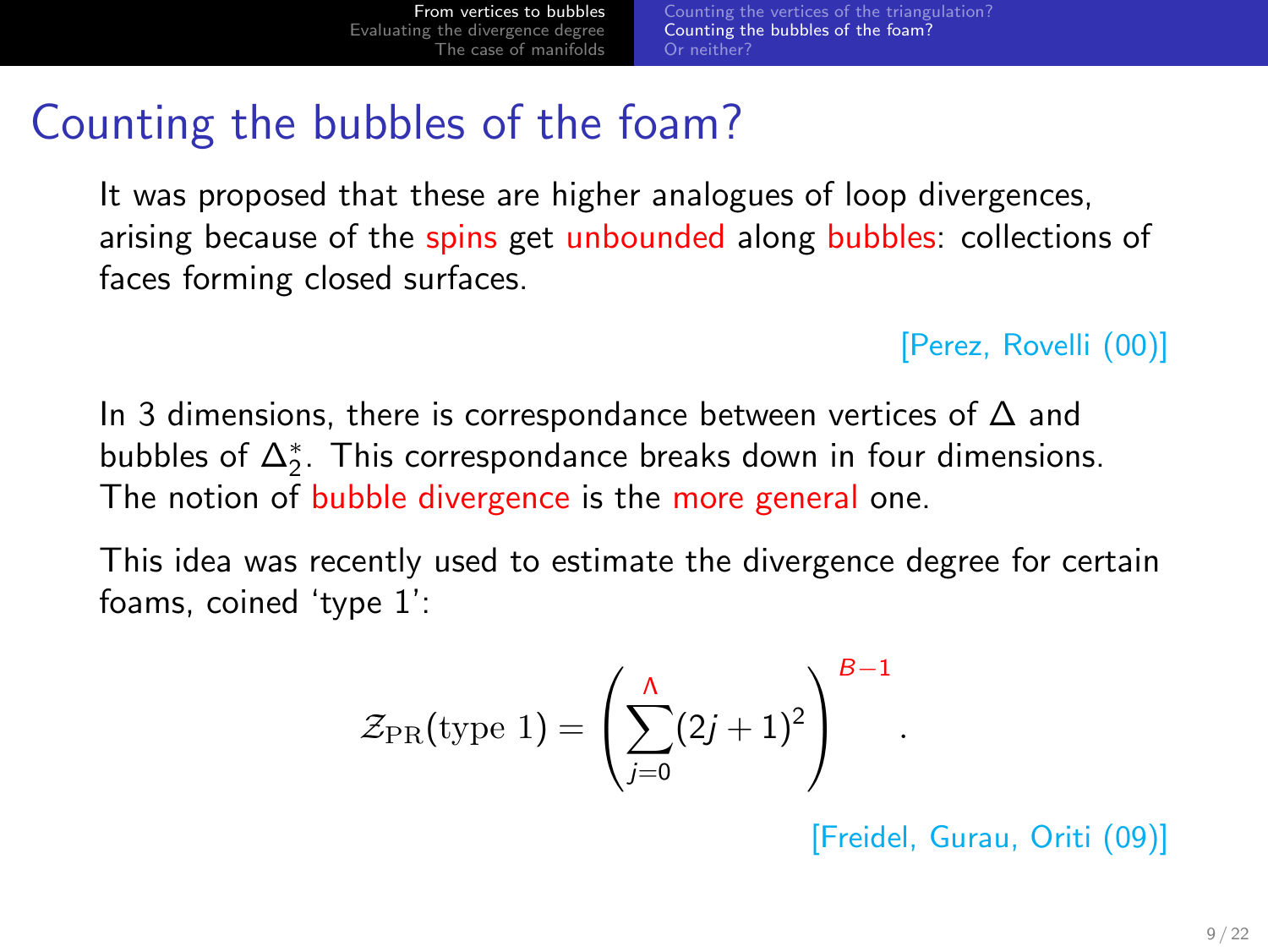## Counting the bubbles of the foam?

It was proposed that these are higher analogues of loop divergences, arising because of the spins get unbounded along bubbles: collections of faces forming closed surfaces.

#### [Perez, Rovelli (00)]

In 3 dimensions, there is correspondance between vertices of ∆ and bubbles of  $\Delta_2^*$ . This correspondance breaks down in four dimensions. The notion of bubble divergence is the more general one.

This idea was recently used to estimate the divergence degree for certain foams, coined 'type 1':

$$
\mathcal{Z}_{\mathrm{PR}}(\mathrm{type}\;1) = \left(\sum_{j=0}^{\Lambda} (2j+1)^2\right)^{B-1}
$$

[Freidel, Gurau, Oriti (09)]

<span id="page-8-0"></span>.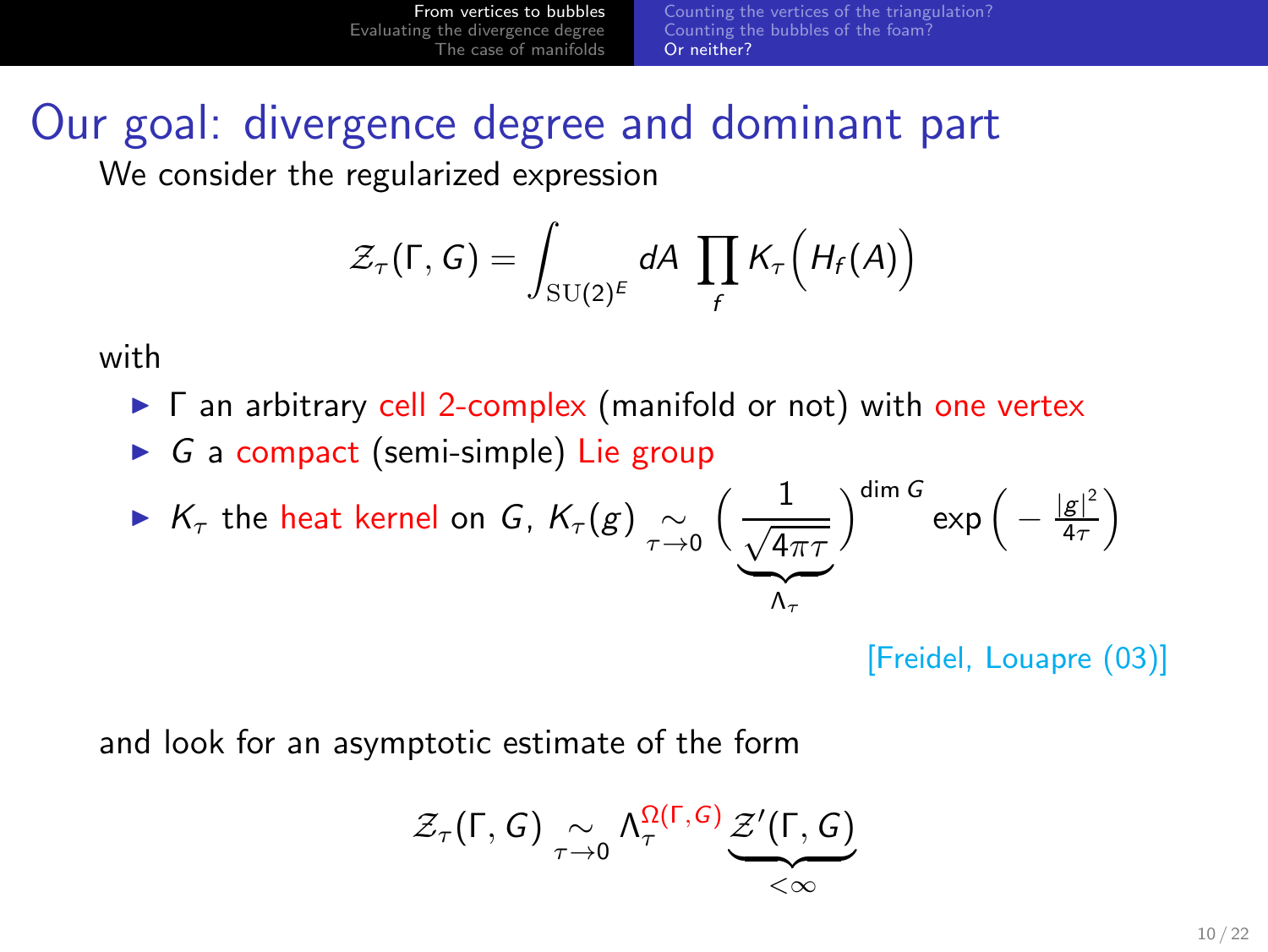[From vertices to bubbles](#page-3-0) [Evaluating the divergence degree](#page-12-0) [The case of manifolds](#page-17-0) [Counting the vertices of the triangulation?](#page-4-0) [Counting the bubbles of the foam?](#page-8-0) [Or neither?](#page-9-0)

# Our goal: divergence degree and dominant part

We consider the regularized expression

$$
\mathcal{Z}_{\tau}(\Gamma, G) = \int_{\mathrm{SU}(2)^E} dA \, \prod_f K_{\tau}\Big(H_f(A)\Big)
$$

with

- ► Γ an arbitrary cell 2-complex (manifold or not) with one vertex
- $\triangleright$  G a compact (semi-simple) Lie group

$$
\triangleright \ \ K_{\tau} \ \text{the heat kernel on } G, \ K_{\tau}(g) \underset{\tau \to 0}{\sim} \Big(\frac{1}{\frac{\sqrt{4\pi \tau}}{\Lambda_{\tau}}}\Big)^{\dim G} \exp\Big(-\frac{|g|^2}{4\tau}\Big)
$$

<span id="page-9-0"></span>[Freidel, Louapre (03)]

and look for an asymptotic estimate of the form

$$
\mathcal{Z}_{\tau}(\Gamma,G) \underset{\tau \to 0}{\sim} \Lambda_{\tau}^{\Omega(\Gamma,G)} \underbrace{\mathcal{Z}'(\Gamma,G)}_{<\infty}
$$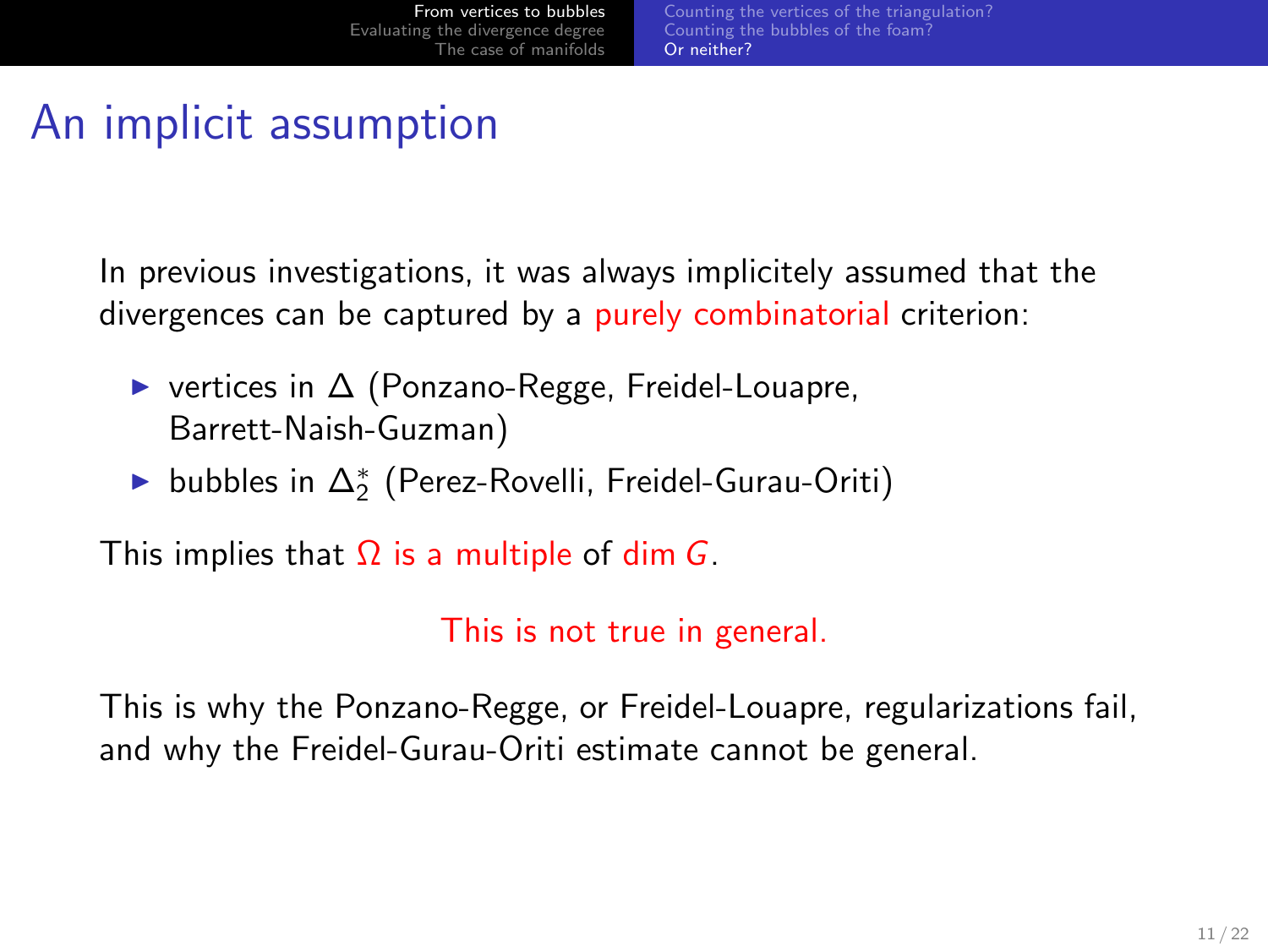# An implicit assumption

In previous investigations, it was always implicitely assumed that the divergences can be captured by a purely combinatorial criterion:

- ◮ vertices in ∆ (Ponzano-Regge, Freidel-Louapre, Barrett-Naish-Guzman)
- ► bubbles in  $\Delta_2^*$  (Perez-Rovelli, Freidel-Gurau-Oriti)

This implies that  $\Omega$  is a multiple of dim G.

This is not true in general.

This is why the Ponzano-Regge, or Freidel-Louapre, regularizations fail, and why the Freidel-Gurau-Oriti estimate cannot be general.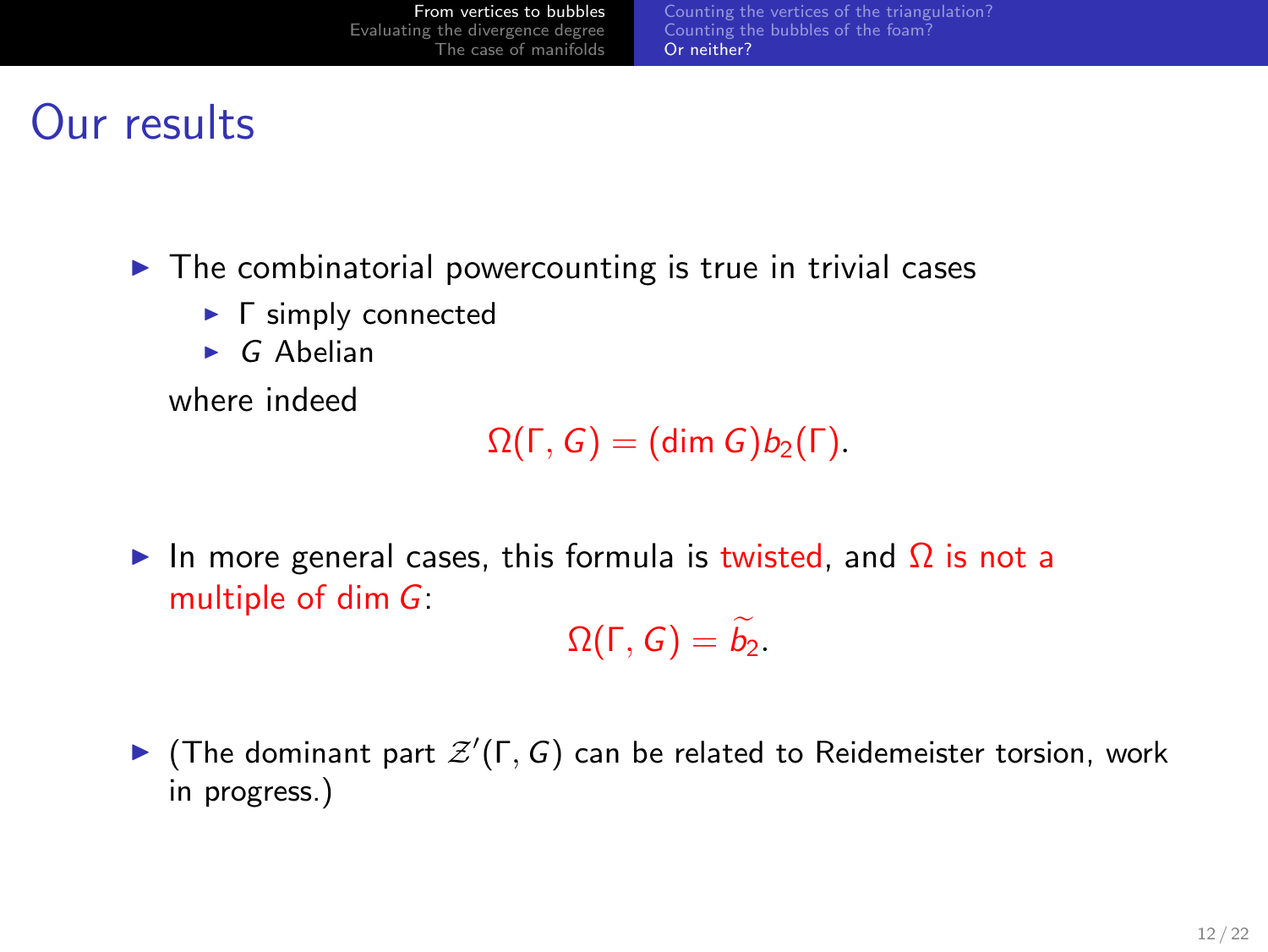## Our results

- $\triangleright$  The combinatorial powercounting is true in trivial cases
	- **►** Γ simply connected
	- $\triangleright$  G Abelian

where indeed

 $\Omega(\Gamma, G) = (\dim G) b_2(\Gamma).$ 

In more general cases, this formula is twisted, and  $\Omega$  is not a multiple of dim  $G$ :

 $\Omega(\Gamma, G) = \widetilde{b}_2.$ 

 $\blacktriangleright$  (The dominant part  $\mathcal{Z}'(\Gamma, G)$  can be related to Reidemeister torsion, work in progress.)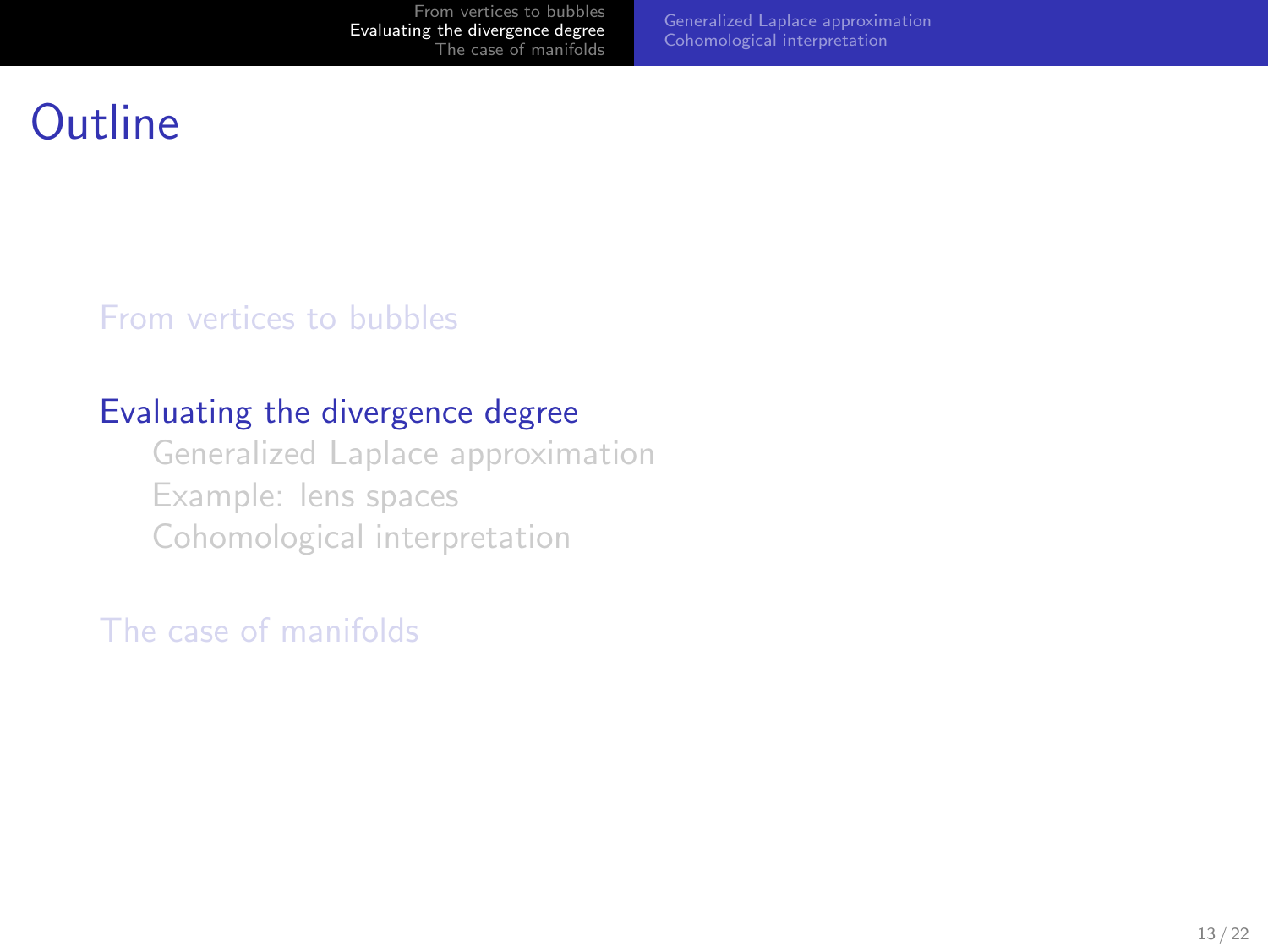<span id="page-12-0"></span>[Generalized Laplace approximation](#page-13-0) [Cohomological interpretation](#page-16-0)

### **Outline**

[From vertices to bubbles](#page-3-0)

#### [Evaluating the divergence degree](#page-12-0)

[Generalized Laplace approximation](#page-13-0) [Example: lens spaces](#page-16-0) [Cohomological interpretation](#page-16-0)

[The case of manifolds](#page-17-0)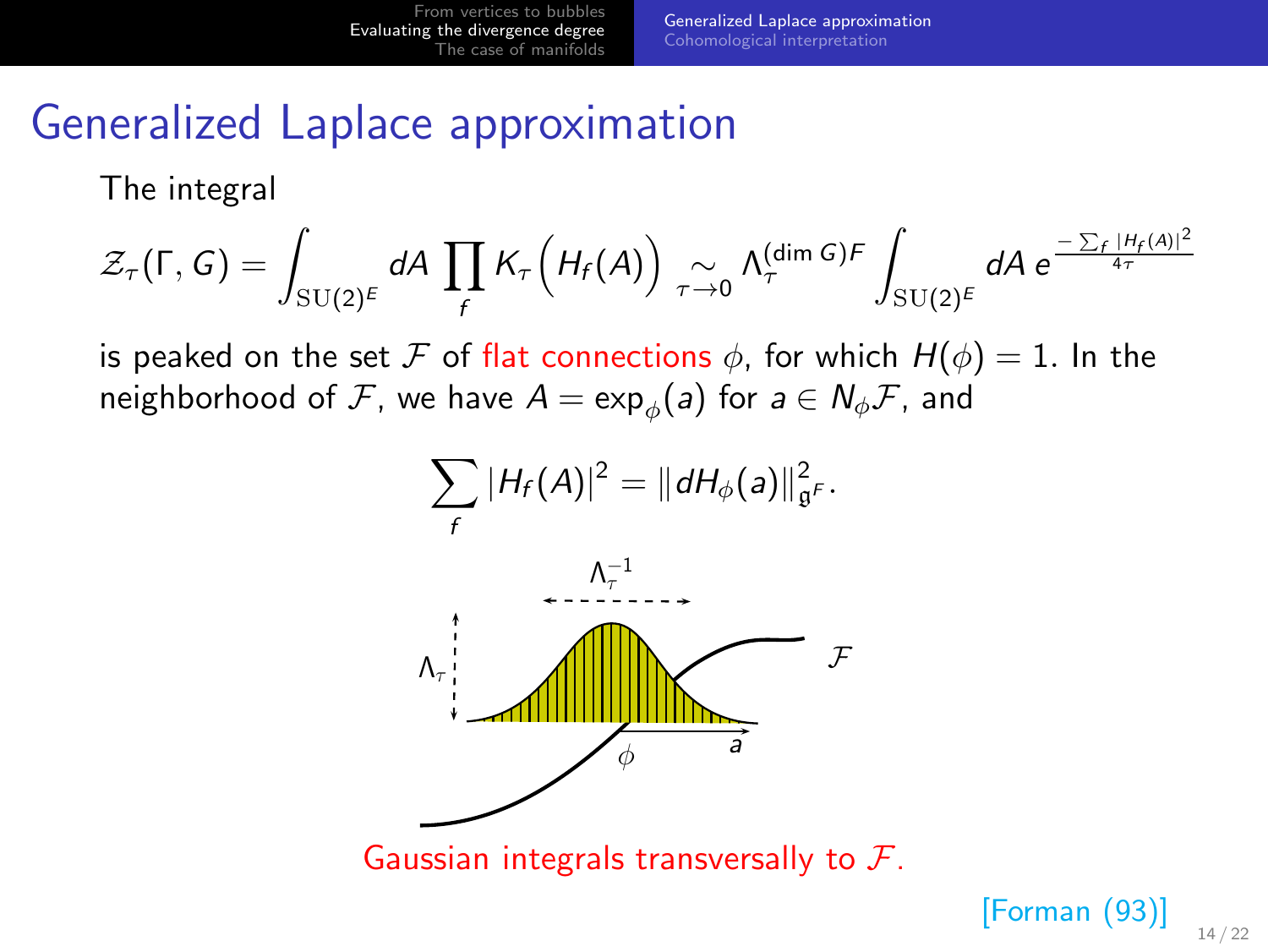#### Generalized Laplace approximation

The integral

$$
\mathcal{Z}_{\tau}(\Gamma, G) = \int_{\mathrm{SU}(2)^E} dA \prod_f K_{\tau} \left( H_f(A) \right) \underset{\tau \to 0}{\sim} \Lambda_{\tau}^{(\dim G)F} \int_{\mathrm{SU}(2)^E} dA \ e^{\frac{-\sum_f |H_f(A)|^2}{4\tau}}
$$

is peaked on the set F of flat connections  $\phi$ , for which  $H(\phi) = 1$ . In the neighborhood of  $\mathcal F$ , we have  $\mathcal A=\exp_\phi(\mathsf a)$  for  $\mathsf a\in\mathsf N_\phi\mathcal F$ , and



<span id="page-13-0"></span>[Forman (93)]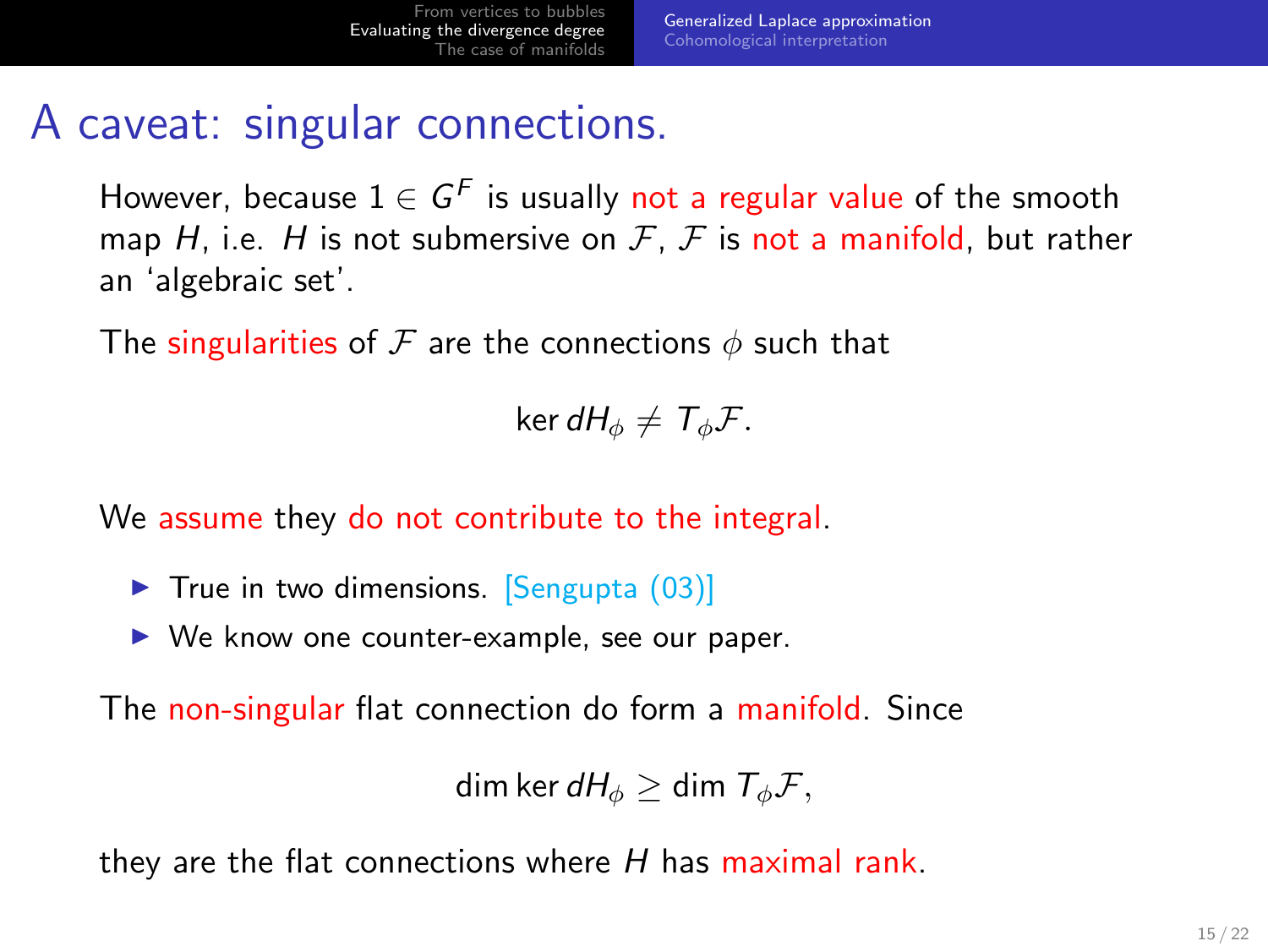## A caveat: singular connections.

However, because  $1 \in G^F$  is usually not a regular value of the smooth map H, i.e. H is not submersive on  $\mathcal{F}, \mathcal{F}$  is not a manifold, but rather an 'algebraic set'.

The singularities of F are the connections  $\phi$  such that

ker  $dH_{\phi} \neq \mathcal{T}_{\phi}\mathcal{F}$ .

We assume they do not contribute to the integral.

- $\triangleright$  True in two dimensions. [Sengupta (03)]
- ▶ We know one counter-example, see our paper.

The non-singular flat connection do form a manifold. Since

dim ker  $dH_{\phi} >$  dim  $T_{\phi} \mathcal{F}$ ,

they are the flat connections where  $H$  has maximal rank.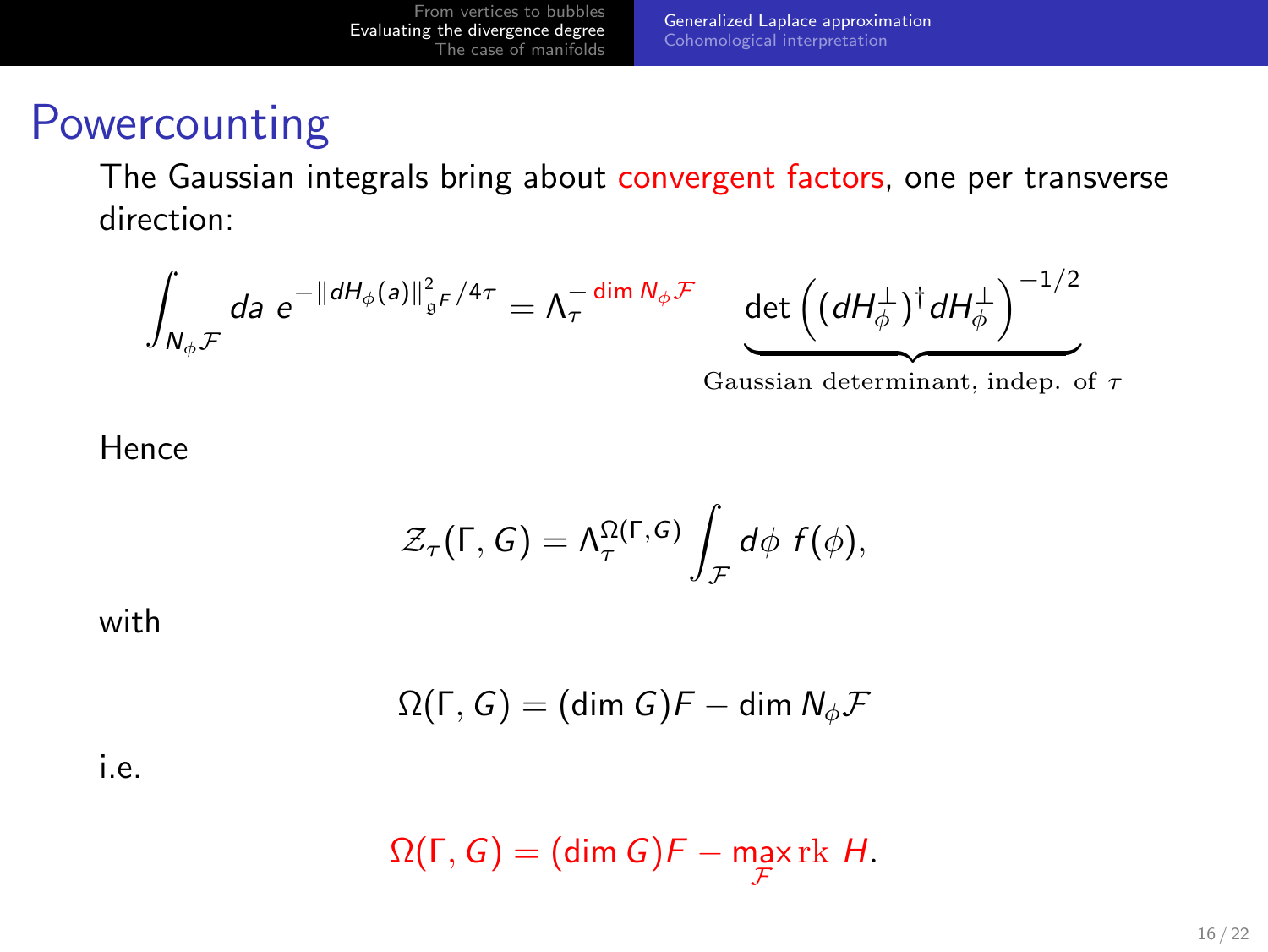#### **Powercounting**

The Gaussian integrals bring about convergent factors, one per transverse direction:

$$
\int_{N_{\phi}\mathcal{F}} da e^{-\|dH_{\phi}(a)\|_{\mathfrak{g}^F}^2/4\tau} = \Lambda_{\tau}^{-\dim N_{\phi}\mathcal{F}} \quad \underbrace{\det\left((dH_{\phi}^{\perp})^{\dagger}dH_{\phi}^{\perp}\right)^{-1/2}}.
$$

| {z } Gaussian determinant, indep. of τ

#### Hence

$$
\mathcal{Z}_{\tau}(\Gamma, G) = \Lambda_{\tau}^{\Omega(\Gamma, G)} \int_{\mathcal{F}} d\phi \, f(\phi),
$$

with

$$
\Omega(\Gamma,G)=(\text{dim }G)\digamma-\text{dim }N_{\phi}\digamma
$$

i.e.

$$
\Omega(\Gamma, G) = (\dim G)F - \max_{\mathcal{F}} \text{rk } H.
$$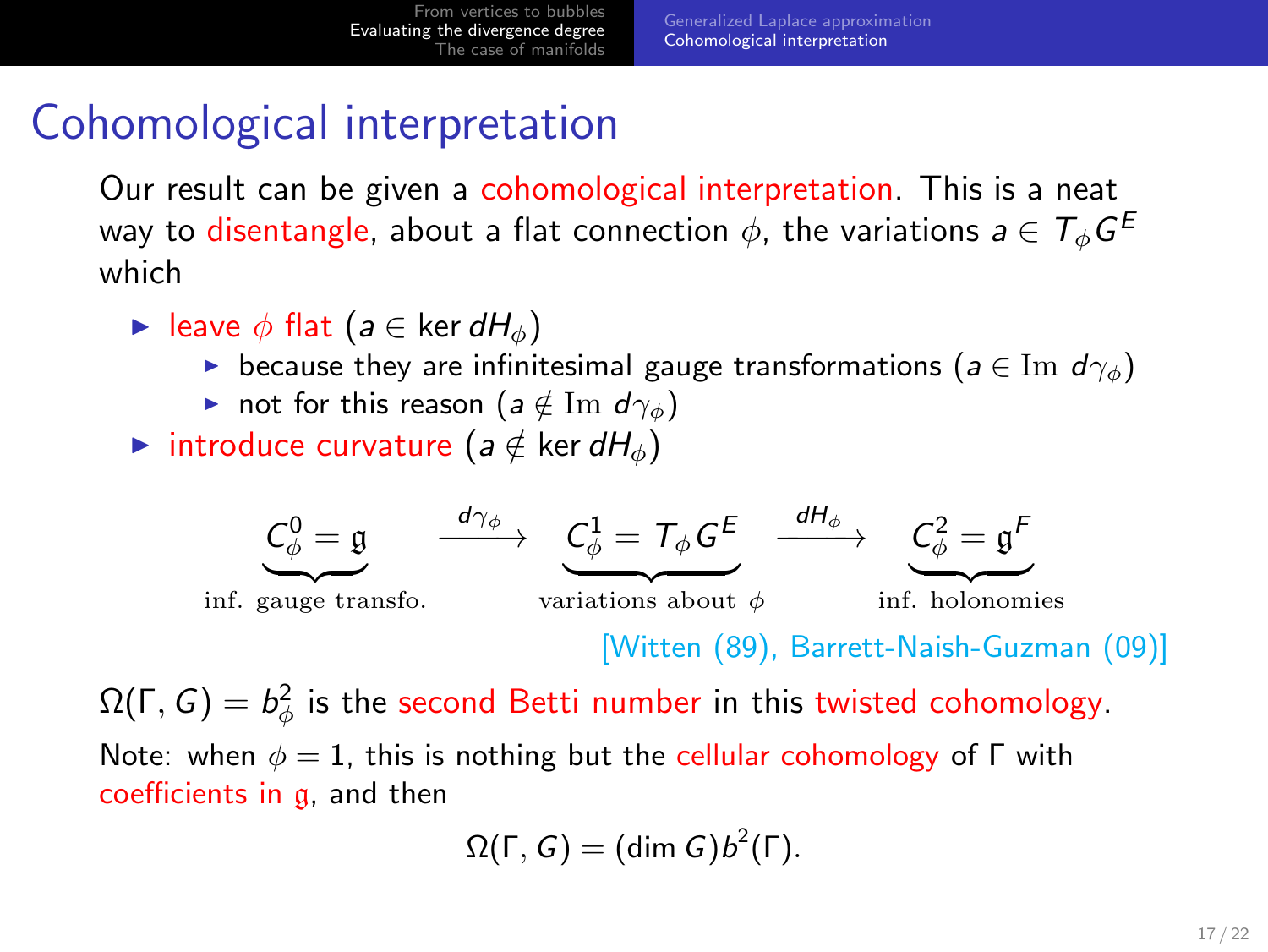#### Cohomological interpretation

Our result can be given a cohomological interpretation. This is a neat way to <mark>disentangle</mark>, about a flat connection  $\phi$ , the variations  $\boldsymbol{a} \in \mathcal{T}_{\phi}G^E$ which

- $\blacktriangleright$  leave  $\phi$  flat (a  $\in$  ker dH<sub>a</sub>)
	- because they are infinitesimal gauge transformations ( $a \in \text{Im } d\gamma_{\phi}$ )
	- not for this reason ( $a \notin \text{Im } d\gamma_{\phi}$ )
- introduce curvature ( $a \notin \text{ker } dH_{\phi}$ )



 $\Omega(\Gamma,G)=b_\phi^2$  is the second Betti number in this twisted cohomology. Note: when  $\phi = 1$ , this is nothing but the cellular cohomology of  $\Gamma$  with coefficients in g, and then

<span id="page-16-0"></span>
$$
\Omega(\Gamma,G)=(\text{dim }G)b^2(\Gamma).
$$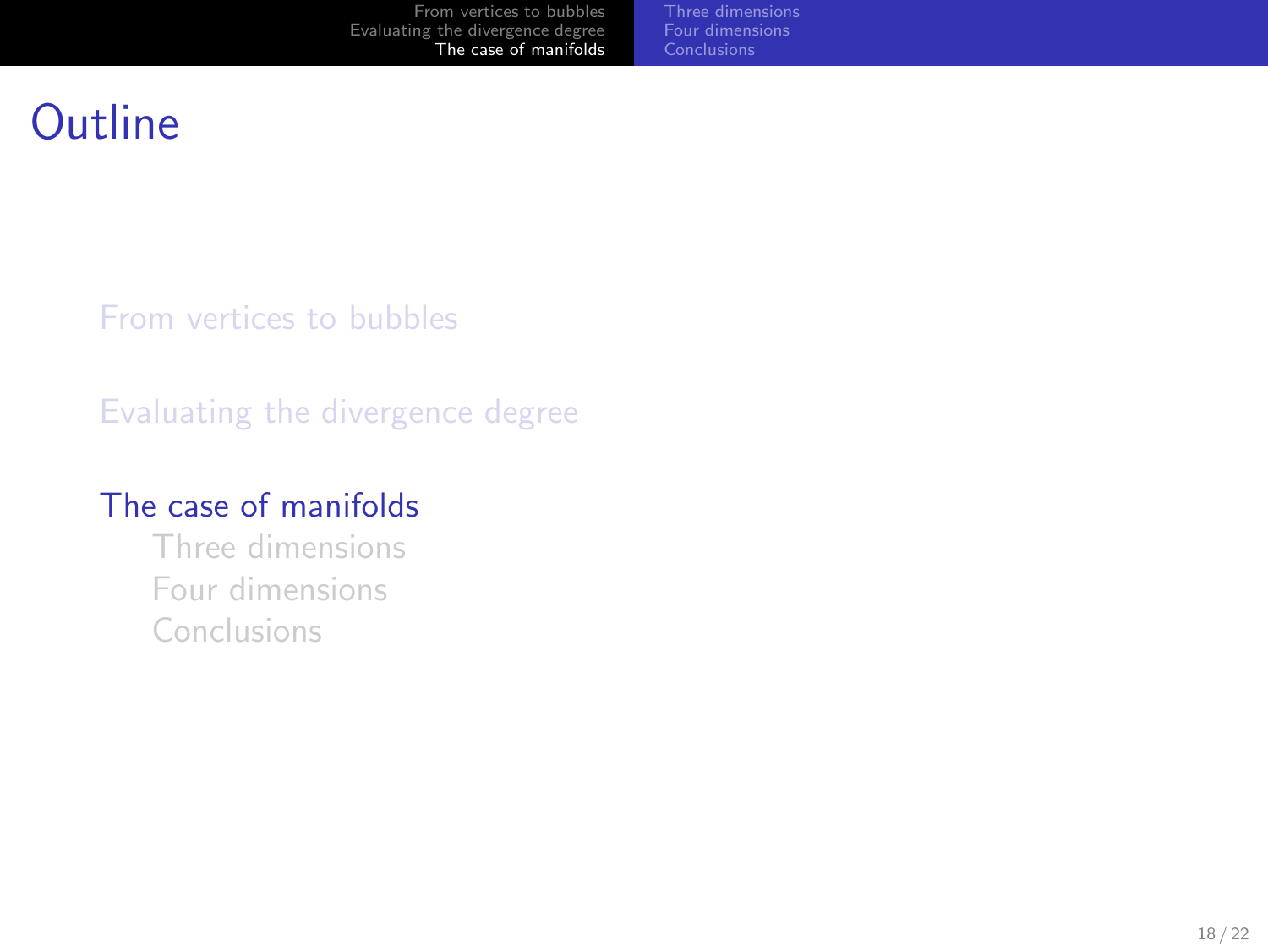<span id="page-17-0"></span>[Three dimensions](#page-19-0) [Four dimensions](#page-20-0) [Conclusions](#page-21-0)

### Outline

[From vertices to bubbles](#page-3-0)

[Evaluating the divergence degree](#page-12-0)

#### [The case of manifolds](#page-17-0)

[Three dimensions](#page-19-0) [Four dimensions](#page-20-0) [Conclusions](#page-21-0)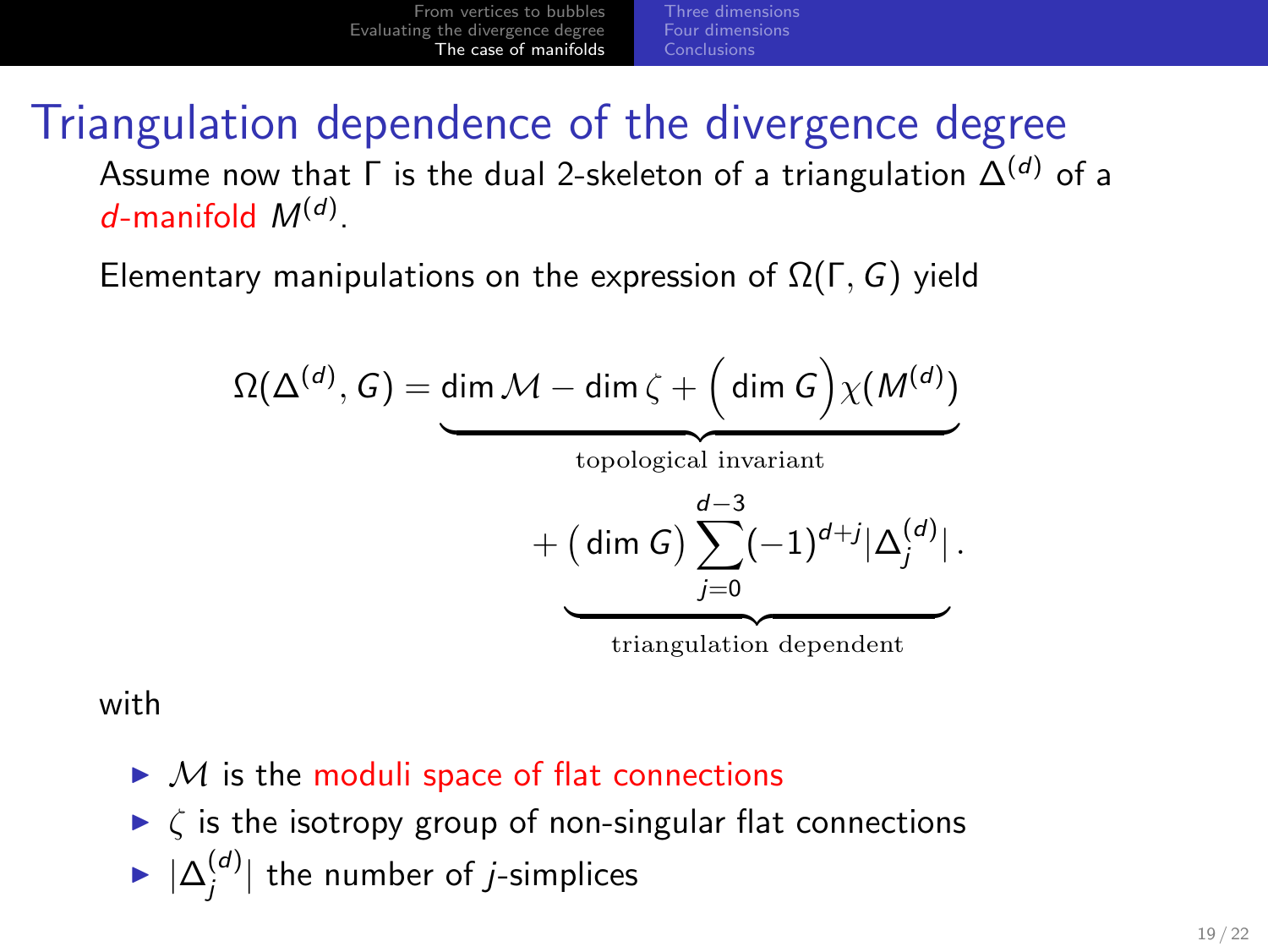[Three dimensions](#page-19-0) [Four dimensions](#page-20-0) [Conclusions](#page-21-0)

#### Triangulation dependence of the divergence degree Assume now that  $\Gamma$  is the dual 2-skeleton of a triangulation  $\Delta^{(d)}$  of a  $d$ -manifold  $M^{(d)}$ .

Elementary manipulations on the expression of  $\Omega(\Gamma, G)$  yield

$$
\Omega(\Delta^{(d)}, G) = \underbrace{\dim \mathcal{M} - \dim \zeta + \left(\dim G\right) \chi(M^{(d)})}_{\text{topological invariant}}
$$

$$
+ \underbrace{\left(\dim G\right) \sum_{j=0}^{d-3} (-1)^{d+j} |\Delta_j^{(d)}|}_{\text{trin multiplication dependent}}.
$$

triangulation dependent

with

- $\blacktriangleright$  M is the moduli space of flat connections
- $\triangleright$   $\zeta$  is the isotropy group of non-singular flat connections
- $\blacktriangleright |\Delta_j^{(d)}|$  the number of *j*-simplices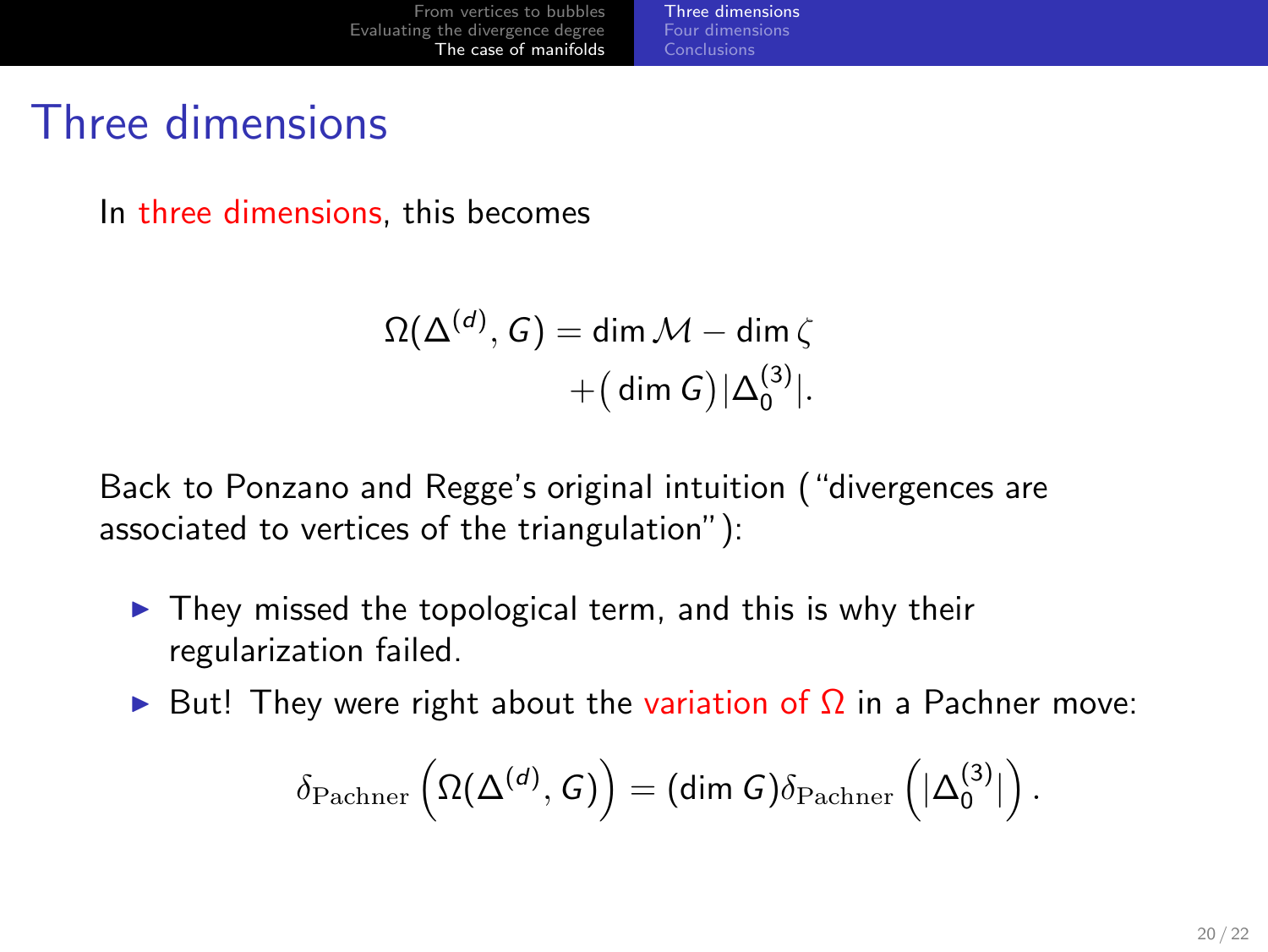#### Three dimensions

In three dimensions, this becomes

$$
\Omega(\Delta^{(d)}, G) = \dim \mathcal{M} - \dim \zeta
$$

$$
+ (\dim G)|\Delta_0^{(3)}|.
$$

Back to Ponzano and Regge's original intuition ("divergences are associated to vertices of the triangulation"):

- $\triangleright$  They missed the topological term, and this is why their regularization failed.
- $\triangleright$  But! They were right about the variation of  $\Omega$  in a Pachner move:

<span id="page-19-0"></span>
$$
\delta_{\mathrm{Pachner}}\left(\Omega(\Delta^{(d)},\mathsf{G})\right)=(\text{dim }\mathsf{G})\delta_{\mathrm{Pachner}}\left(|\Delta_0^{(3)}|\right).
$$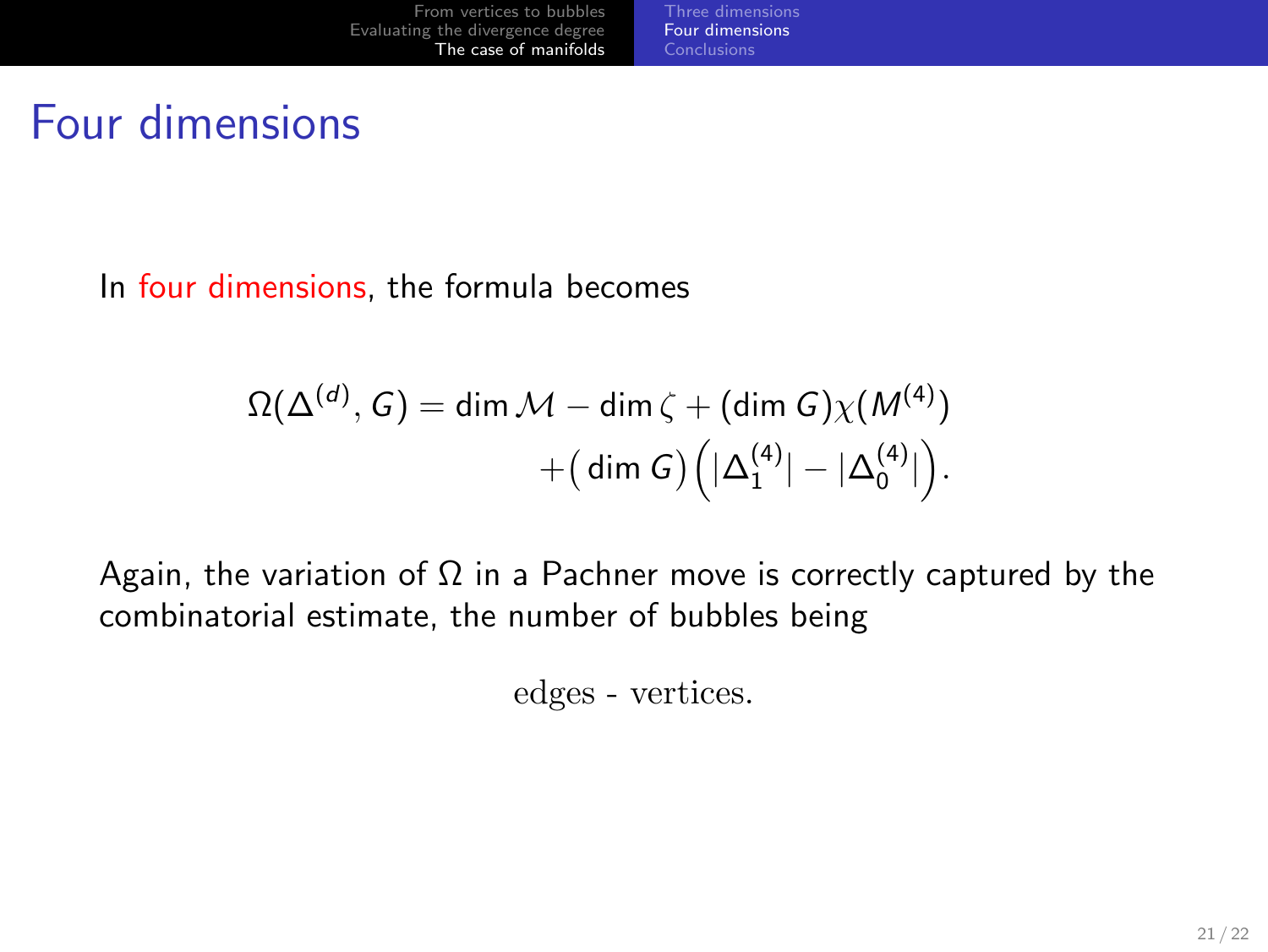#### Four dimensions

In four dimensions, the formula becomes

$$
\Omega(\Delta^{(d)}, G) = \dim \mathcal{M} - \dim \zeta + (\dim G) \chi(M^{(4)})
$$

$$
+ (\dim G) (\vert \Delta_1^{(4)} \vert - \vert \Delta_0^{(4)} \vert).
$$

Again, the variation of  $\Omega$  in a Pachner move is correctly captured by the combinatorial estimate, the number of bubbles being

<span id="page-20-0"></span>edges - vertices.